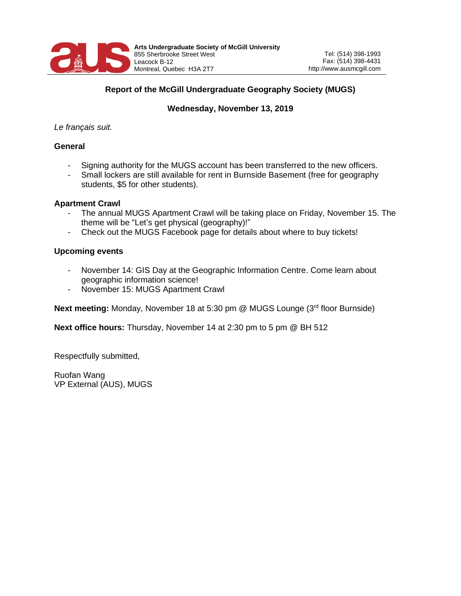

## **Report of the McGill Undergraduate Geography Society (MUGS)**

# **Wednesday, November 13, 2019**

### *Le français suit.*

### **General**

- Signing authority for the MUGS account has been transferred to the new officers.
- Small lockers are still available for rent in Burnside Basement (free for geography students, \$5 for other students).

#### **Apartment Crawl**

- The annual MUGS Apartment Crawl will be taking place on Friday, November 15. The theme will be "Let's get physical (geography)!"
- Check out the MUGS Facebook page for details about where to buy tickets!

### **Upcoming events**

- November 14: GIS Day at the Geographic Information Centre. Come learn about geographic information science!
- November 15: MUGS Apartment Crawl

**Next meeting:** Monday, November 18 at 5:30 pm @ MUGS Lounge (3<sup>rd</sup> floor Burnside)

**Next office hours:** Thursday, November 14 at 2:30 pm to 5 pm @ BH 512

Respectfully submitted,

Ruofan Wang VP External (AUS), MUGS